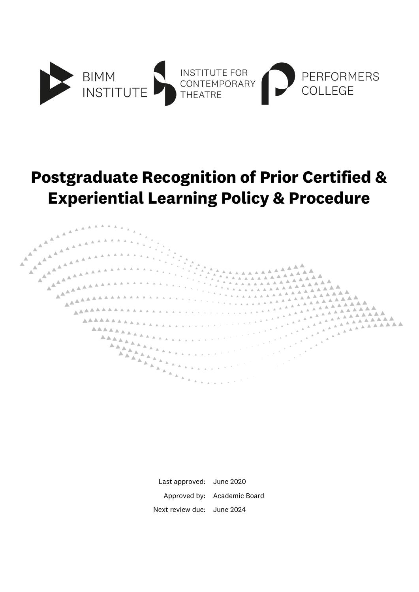

# **Postgraduate Recognition of Prior Certified & Experiential Learning Policy & Procedure**



Last approved: June 2020 Approved by: Academic Board Next review due: June 2024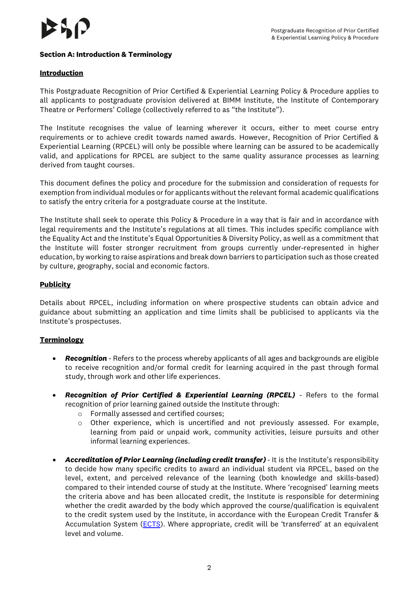# **Section A: Introduction & Terminology**

### **Introduction**

This Postgraduate Recognition of Prior Certified & Experiential Learning Policy & Procedure applies to all applicants to postgraduate provision delivered at BIMM Institute, the Institute of Contemporary Theatre or Performers' College (collectively referred to as "the Institute").

The Institute recognises the value of learning wherever it occurs, either to meet course entry requirements or to achieve credit towards named awards. However, Recognition of Prior Certified & Experiential Learning (RPCEL) will only be possible where learning can be assured to be academically valid, and applications for RPCEL are subject to the same quality assurance processes as learning derived from taught courses.

This document defines the policy and procedure for the submission and consideration of requests for exemption from individual modules or for applicants without the relevant formal academic qualifications to satisfy the entry criteria for a postgraduate course at the Institute.

The Institute shall seek to operate this Policy & Procedure in a way that is fair and in accordance with legal requirements and the Institute's regulations at all times. This includes specific compliance with the Equality Act and the Institute's Equal Opportunities & Diversity Policy, as well as a commitment that the Institute will foster stronger recruitment from groups currently under-represented in higher education, by working to raise aspirations and break down barriers to participation such as those created by culture, geography, social and economic factors.

#### **Publicity**

Details about RPCEL, including information on where prospective students can obtain advice and guidance about submitting an application and time limits shall be publicised to applicants via the Institute's prospectuses.

#### **Terminology**

- *Recognition -* Refers to the process whereby applicants of all ages and backgrounds are eligible to receive recognition and/or formal credit for learning acquired in the past through formal study, through work and other life experiences.
- *Recognition of Prior Certified & Experiential Learning (RPCEL) -* Refers to the formal recognition of prior learning gained outside the Institute through:
	- o Formally assessed and certified courses;
	- o Other experience, which is uncertified and not previously assessed. For example, learning from paid or unpaid work, community activities, leisure pursuits and other informal learning experiences.
- *Accreditation of Prior Learning (including credit transfer)* It is the Institute's responsibility to decide how many specific credits to award an individual student via RPCEL, based on the level, extent, and perceived relevance of the learning (both knowledge and skills-based) compared to their intended course of study at the Institute. Where 'recognised' learning meets the criteria above and has been allocated credit, the Institute is responsible for determining whether the credit awarded by the body which approved the course/qualification is equivalent to the credit system used by the Institute, in accordance with the European Credit Transfer & Accumulation System [\(ECTS\)](https://ec.europa.eu/education/resources-and-tools/european-credit-transfer-and-accumulation-system-ects_en). Where appropriate, credit will be 'transferred' at an equivalent level and volume.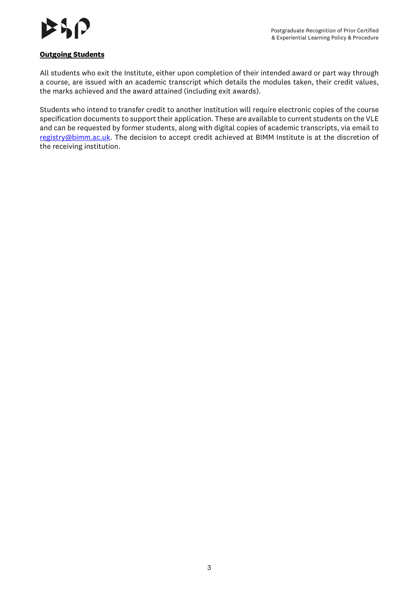

# **Outgoing Students**

All students who exit the Institute, either upon completion of their intended award or part way through a course, are issued with an academic transcript which details the modules taken, their credit values, the marks achieved and the award attained (including exit awards).

Students who intend to transfer credit to another institution will require electronic copies of the course specification documents to support their application. These are available to current students on the VLE and can be requested by former students, along with digital copies of academic transcripts, via email to [registry@bimm.ac.uk.](mailto:registry@bimm.ac.uk) The decision to accept credit achieved at BIMM Institute is at the discretion of the receiving institution.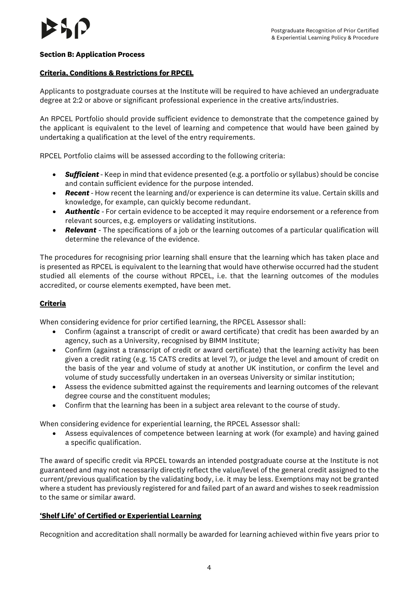#### **Section B: Application Process**

#### **Criteria, Conditions & Restrictions for RPCEL**

Applicants to postgraduate courses at the Institute will be required to have achieved an undergraduate degree at 2:2 or above or significant professional experience in the creative arts/industries.

An RPCEL Portfolio should provide sufficient evidence to demonstrate that the competence gained by the applicant is equivalent to the level of learning and competence that would have been gained by undertaking a qualification at the level of the entry requirements.

RPCEL Portfolio claims will be assessed according to the following criteria:

- *Sufficient -* Keep in mind that evidence presented (e.g. a portfolio or syllabus) should be concise and contain sufficient evidence for the purpose intended.
- *Recent -* How recent the learning and/or experience is can determine its value. Certain skills and knowledge, for example, can quickly become redundant.
- *Authentic -* For certain evidence to be accepted it may require endorsement or a reference from relevant sources, e.g. employers or validating institutions.
- *Relevant -* The specifications of a job or the learning outcomes of a particular qualification will determine the relevance of the evidence.

The procedures for recognising prior learning shall ensure that the learning which has taken place and is presented as RPCEL is equivalent to the learning that would have otherwise occurred had the student studied all elements of the course without RPCEL, i.e. that the learning outcomes of the modules accredited, or course elements exempted, have been met.

#### **Criteria**

When considering evidence for prior certified learning, the RPCEL Assessor shall:

- Confirm (against a transcript of credit or award certificate) that credit has been awarded by an agency, such as a University, recognised by BIMM Institute;
- Confirm (against a transcript of credit or award certificate) that the learning activity has been given a credit rating (e.g. 15 CATS credits at level 7), or judge the level and amount of credit on the basis of the year and volume of study at another UK institution, or confirm the level and volume of study successfully undertaken in an overseas University or similar institution;
- Assess the evidence submitted against the requirements and learning outcomes of the relevant degree course and the constituent modules;
- Confirm that the learning has been in a subject area relevant to the course of study.

When considering evidence for experiential learning, the RPCEL Assessor shall:

• Assess equivalences of competence between learning at work (for example) and having gained a specific qualification.

The award of specific credit via RPCEL towards an intended postgraduate course at the Institute is not guaranteed and may not necessarily directly reflect the value/level of the general credit assigned to the current/previous qualification by the validating body, i.e. it may be less. Exemptions may not be granted where a student has previously registered for and failed part of an award and wishes to seek readmission to the same or similar award.

#### **'Shelf Life' of Certified or Experiential Learning**

Recognition and accreditation shall normally be awarded for learning achieved within five years prior to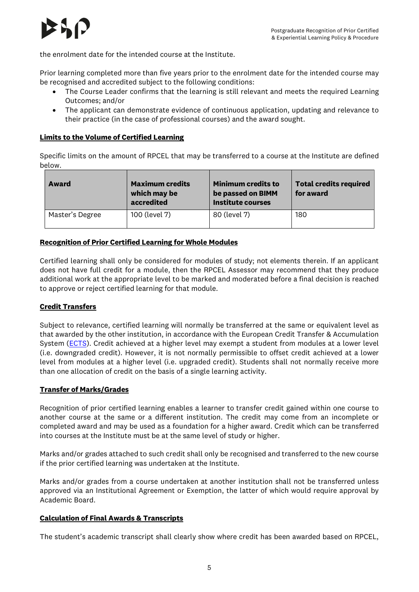

the enrolment date for the intended course at the Institute.

Prior learning completed more than five years prior to the enrolment date for the intended course may be recognised and accredited subject to the following conditions:

- The Course Leader confirms that the learning is still relevant and meets the required Learning Outcomes; and/or
- The applicant can demonstrate evidence of continuous application, updating and relevance to their practice (in the case of professional courses) and the award sought.

# **Limits to the Volume of Certified Learning**

Specific limits on the amount of RPCEL that may be transferred to a course at the Institute are defined below.

| <b>Award</b>    | <b>Maximum credits</b><br>which may be<br>accredited | <b>Minimum credits to</b><br>be passed on BIMM<br><b>Institute courses</b> | <b>Total credits required</b><br>for award |
|-----------------|------------------------------------------------------|----------------------------------------------------------------------------|--------------------------------------------|
| Master's Degree | 100 (level 7)                                        | 80 (level 7)                                                               | 180                                        |

# **Recognition of Prior Certified Learning for Whole Modules**

Certified learning shall only be considered for modules of study; not elements therein. If an applicant does not have full credit for a module, then the RPCEL Assessor may recommend that they produce additional work at the appropriate level to be marked and moderated before a final decision is reached to approve or reject certified learning for that module.

#### **Credit Transfers**

Subject to relevance, certified learning will normally be transferred at the same or equivalent level as that awarded by the other institution, in accordance with the European Credit Transfer & Accumulation System [\(ECTS\)](https://ec.europa.eu/education/resources-and-tools/european-credit-transfer-and-accumulation-system-ects_en). Credit achieved at a higher level may exempt a student from modules at a lower level (i.e. downgraded credit). However, it is not normally permissible to offset credit achieved at a lower level from modules at a higher level (i.e. upgraded credit). Students shall not normally receive more than one allocation of credit on the basis of a single learning activity.

#### **Transfer of Marks/Grades**

Recognition of prior certified learning enables a learner to transfer credit gained within one course to another course at the same or a different institution. The credit may come from an incomplete or completed award and may be used as a foundation for a higher award. Credit which can be transferred into courses at the Institute must be at the same level of study or higher.

Marks and/or grades attached to such credit shall only be recognised and transferred to the new course if the prior certified learning was undertaken at the Institute.

Marks and/or grades from a course undertaken at another institution shall not be transferred unless approved via an Institutional Agreement or Exemption, the latter of which would require approval by Academic Board.

#### **Calculation of Final Awards & Transcripts**

The student's academic transcript shall clearly show where credit has been awarded based on RPCEL,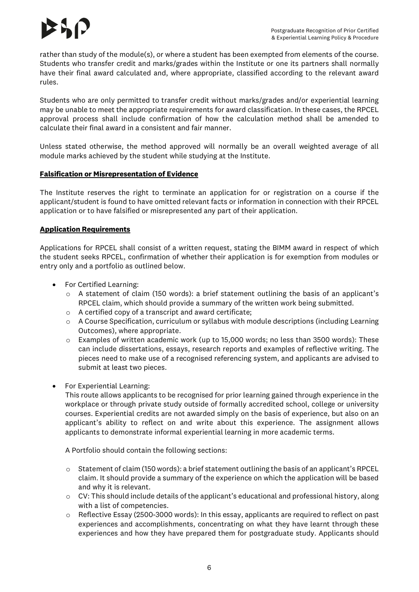rather than study of the module(s), or where a student has been exempted from elements of the course. Students who transfer credit and marks/grades within the Institute or one its partners shall normally have their final award calculated and, where appropriate, classified according to the relevant award rules.

Students who are only permitted to transfer credit without marks/grades and/or experiential learning may be unable to meet the appropriate requirements for award classification. In these cases, the RPCEL approval process shall include confirmation of how the calculation method shall be amended to calculate their final award in a consistent and fair manner.

Unless stated otherwise, the method approved will normally be an overall weighted average of all module marks achieved by the student while studying at the Institute.

#### **Falsification or Misrepresentation of Evidence**

The Institute reserves the right to terminate an application for or registration on a course if the applicant/student is found to have omitted relevant facts or information in connection with their RPCEL application or to have falsified or misrepresented any part of their application.

# **Application Requirements**

Applications for RPCEL shall consist of a written request, stating the BIMM award in respect of which the student seeks RPCEL, confirmation of whether their application is for exemption from modules or entry only and a portfolio as outlined below.

- For Certified Learning:
	- o A statement of claim (150 words): a brief statement outlining the basis of an applicant's RPCEL claim, which should provide a summary of the written work being submitted.
	- o A certified copy of a transcript and award certificate;
	- $\circ$  A Course Specification, curriculum or syllabus with module descriptions (including Learning Outcomes), where appropriate.
	- o Examples of written academic work (up to 15,000 words; no less than 3500 words): These can include dissertations, essays, research reports and examples of reflective writing. The pieces need to make use of a recognised referencing system, and applicants are advised to submit at least two pieces.
- For Experiential Learning:

This route allows applicants to be recognised for prior learning gained through experience in the workplace or through private study outside of formally accredited school, college or university courses. Experiential credits are not awarded simply on the basis of experience, but also on an applicant's ability to reflect on and write about this experience. The assignment allows applicants to demonstrate informal experiential learning in more academic terms.

A Portfolio should contain the following sections:

- o Statement of claim (150 words): a brief statement outlining the basis of an applicant's RPCEL claim. It should provide a summary of the experience on which the application will be based and why it is relevant.
- $\circ$  CV: This should include details of the applicant's educational and professional history, along with a list of competencies.
- $\circ$  Reflective Essay (2500-3000 words): In this essay, applicants are required to reflect on past experiences and accomplishments, concentrating on what they have learnt through these experiences and how they have prepared them for postgraduate study. Applicants should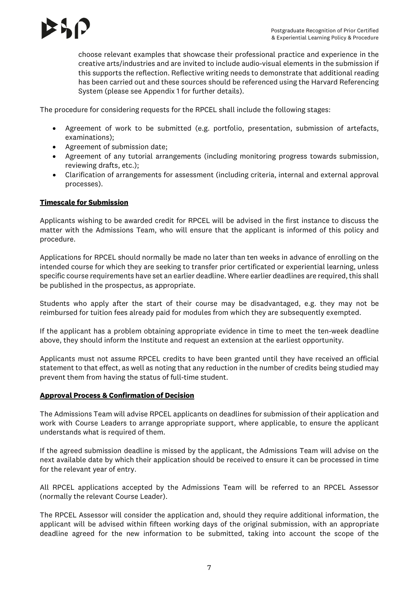choose relevant examples that showcase their professional practice and experience in the creative arts/industries and are invited to include audio-visual elements in the submission if this supports the reflection. Reflective writing needs to demonstrate that additional reading has been carried out and these sources should be referenced using the Harvard Referencing System (please see Appendix 1 for further details).

The procedure for considering requests for the RPCEL shall include the following stages:

- Agreement of work to be submitted (e.g. portfolio, presentation, submission of artefacts, examinations);
- Agreement of submission date;
- Agreement of any tutorial arrangements (including monitoring progress towards submission, reviewing drafts, etc.);
- Clarification of arrangements for assessment (including criteria, internal and external approval processes).

#### **Timescale for Submission**

Applicants wishing to be awarded credit for RPCEL will be advised in the first instance to discuss the matter with the Admissions Team, who will ensure that the applicant is informed of this policy and procedure.

Applications for RPCEL should normally be made no later than ten weeks in advance of enrolling on the intended course for which they are seeking to transfer prior certificated or experiential learning, unless specific course requirements have set an earlier deadline. Where earlier deadlines are required, this shall be published in the prospectus, as appropriate.

Students who apply after the start of their course may be disadvantaged, e.g. they may not be reimbursed for tuition fees already paid for modules from which they are subsequently exempted.

If the applicant has a problem obtaining appropriate evidence in time to meet the ten-week deadline above, they should inform the Institute and request an extension at the earliest opportunity.

Applicants must not assume RPCEL credits to have been granted until they have received an official statement to that effect, as well as noting that any reduction in the number of credits being studied may prevent them from having the status of full-time student.

#### **Approval Process & Confirmation of Decision**

The Admissions Team will advise RPCEL applicants on deadlines for submission of their application and work with Course Leaders to arrange appropriate support, where applicable, to ensure the applicant understands what is required of them.

If the agreed submission deadline is missed by the applicant, the Admissions Team will advise on the next available date by which their application should be received to ensure it can be processed in time for the relevant year of entry.

All RPCEL applications accepted by the Admissions Team will be referred to an RPCEL Assessor (normally the relevant Course Leader).

The RPCEL Assessor will consider the application and, should they require additional information, the applicant will be advised within fifteen working days of the original submission, with an appropriate deadline agreed for the new information to be submitted, taking into account the scope of the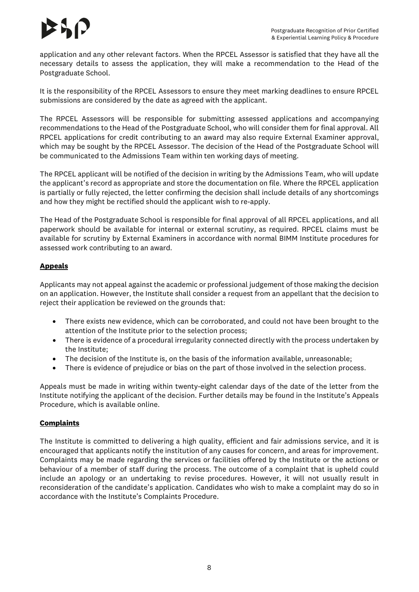application and any other relevant factors. When the RPCEL Assessor is satisfied that they have all the necessary details to assess the application, they will make a recommendation to the Head of the Postgraduate School.

It is the responsibility of the RPCEL Assessors to ensure they meet marking deadlines to ensure RPCEL submissions are considered by the date as agreed with the applicant.

The RPCEL Assessors will be responsible for submitting assessed applications and accompanying recommendations to the Head of the Postgraduate School, who will consider them for final approval. All RPCEL applications for credit contributing to an award may also require External Examiner approval, which may be sought by the RPCEL Assessor. The decision of the Head of the Postgraduate School will be communicated to the Admissions Team within ten working days of meeting.

The RPCEL applicant will be notified of the decision in writing by the Admissions Team, who will update the applicant's record as appropriate and store the documentation on file. Where the RPCEL application is partially or fully rejected, the letter confirming the decision shall include details of any shortcomings and how they might be rectified should the applicant wish to re-apply.

The Head of the Postgraduate School is responsible for final approval of all RPCEL applications, and all paperwork should be available for internal or external scrutiny, as required. RPCEL claims must be available for scrutiny by External Examiners in accordance with normal BIMM Institute procedures for assessed work contributing to an award.

# **Appeals**

Applicants may not appeal against the academic or professional judgement of those making the decision on an application. However, the Institute shall consider a request from an appellant that the decision to reject their application be reviewed on the grounds that:

- There exists new evidence, which can be corroborated, and could not have been brought to the attention of the Institute prior to the selection process;
- There is evidence of a procedural irregularity connected directly with the process undertaken by the Institute;
- The decision of the Institute is, on the basis of the information available, unreasonable;
- There is evidence of prejudice or bias on the part of those involved in the selection process.

Appeals must be made in writing within twenty-eight calendar days of the date of the letter from the Institute notifying the applicant of the decision. Further details may be found in the Institute's Appeals Procedure, which is available online.

#### **Complaints**

The Institute is committed to delivering a high quality, efficient and fair admissions service, and it is encouraged that applicants notify the institution of any causes for concern, and areas for improvement. Complaints may be made regarding the services or facilities offered by the Institute or the actions or behaviour of a member of staff during the process. The outcome of a complaint that is upheld could include an apology or an undertaking to revise procedures. However, it will not usually result in reconsideration of the candidate's application. Candidates who wish to make a complaint may do so in accordance with the Institute's Complaints Procedure.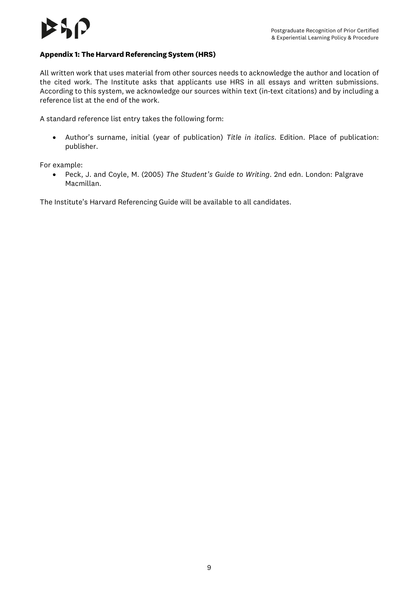#### **Appendix 1: The Harvard Referencing System (HRS)**

All written work that uses material from other sources needs to acknowledge the author and location of the cited work. The Institute asks that applicants use HRS in all essays and written submissions. According to this system, we acknowledge our sources within text (in-text citations) and by including a reference list at the end of the work.

A standard reference list entry takes the following form:

• Author's surname, initial (year of publication) *Title in italics*. Edition. Place of publication: publisher.

For example:

• Peck, J. and Coyle, M. (2005) *The Student's Guide to Writing*. 2nd edn. London: Palgrave Macmillan.

The Institute's Harvard Referencing Guide will be available to all candidates.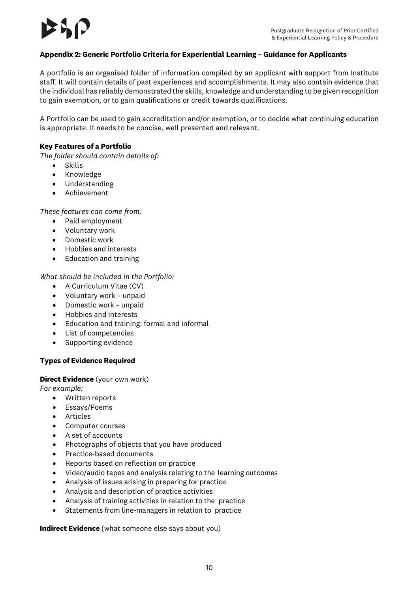#### **Appendix 2: Generic Portfolio Criteria for Experiential Learning – Guidance for Applicants**

A portfolio is an organised folder of information compiled by an applicant with support from Institute staff. It will contain details of past experiences and accomplishments. It may also contain evidence that the individual has reliably demonstrated the skills, knowledge and understanding to be given recognition to gain exemption, or to gain qualifications or credit towards qualifications.

A Portfolio can be used to gain accreditation and/or exemption, or to decide what continuing education is appropriate. It needs to be concise, well presented and relevant.

#### **Key Features of a Portfolio**

*The folder should contain details of:*

- Skills
- Knowledge
- Understanding
- Achievement

*These features can come from:*

- Paid employment
- Voluntary work
- Domestic work
- Hobbies and interests
- Education and training

*What should be included in the Portfolio:*

- A Curriculum Vitae (CV)
- Voluntary work unpaid
- Domestic work unpaid
- Hobbies and interests
- Education and training: formal and informal
- List of competencies
- Supporting evidence

#### **Types of Evidence Required**

#### **Direct Evidence** (your own work)

*For example:*

- Written reports
- Essays/Poems
- Articles
- Computer courses
- A set of accounts
- Photographs of objects that you have produced
- Practice-based documents
- Reports based on reflection on practice
- Video/audio tapes and analysis relating to the learning outcomes
- Analysis of issues arising in preparing for practice
- Analysis and description of practice activities
- Analysis of training activities in relation to the practice
- Statements from line-managers in relation to practice

**Indirect Evidence** (what someone else says about you)